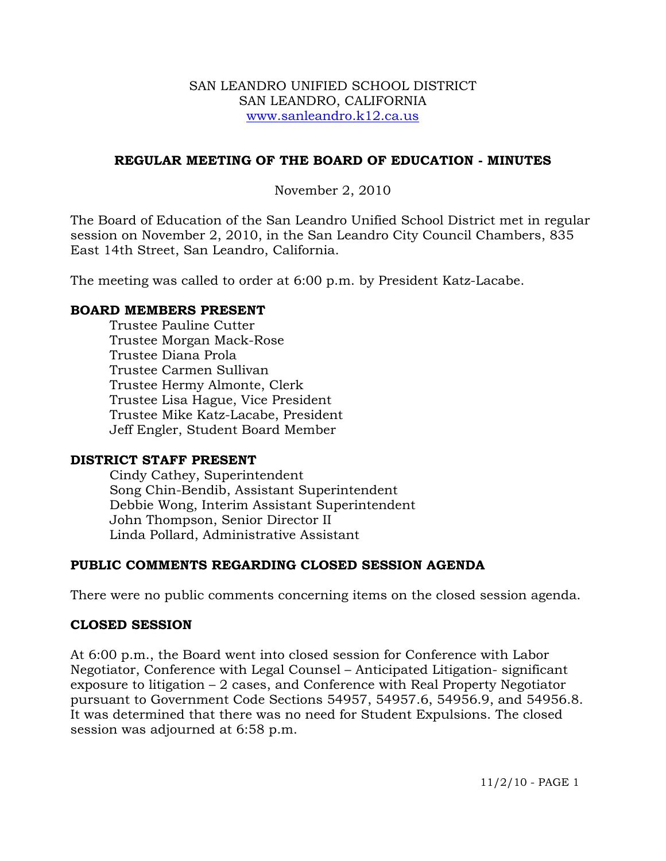#### SAN LEANDRO UNIFIED SCHOOL DISTRICT SAN LEANDRO, CALIFORNIA www.sanleandro.k12.ca.us

#### **REGULAR MEETING OF THE BOARD OF EDUCATION - MINUTES**

November 2, 2010

The Board of Education of the San Leandro Unified School District met in regular session on November 2, 2010, in the San Leandro City Council Chambers, 835 East 14th Street, San Leandro, California.

The meeting was called to order at 6:00 p.m. by President Katz-Lacabe.

#### **BOARD MEMBERS PRESENT**

Trustee Pauline Cutter Trustee Morgan Mack-Rose Trustee Diana Prola Trustee Carmen Sullivan Trustee Hermy Almonte, Clerk Trustee Lisa Hague, Vice President Trustee Mike Katz-Lacabe, President Jeff Engler, Student Board Member

#### **DISTRICT STAFF PRESENT**

Cindy Cathey, Superintendent Song Chin-Bendib, Assistant Superintendent Debbie Wong, Interim Assistant Superintendent John Thompson, Senior Director II Linda Pollard, Administrative Assistant

#### **PUBLIC COMMENTS REGARDING CLOSED SESSION AGENDA**

There were no public comments concerning items on the closed session agenda.

#### **CLOSED SESSION**

At 6:00 p.m., the Board went into closed session for Conference with Labor Negotiator, Conference with Legal Counsel – Anticipated Litigation- significant exposure to litigation – 2 cases, and Conference with Real Property Negotiator pursuant to Government Code Sections 54957, 54957.6, 54956.9, and 54956.8. It was determined that there was no need for Student Expulsions. The closed session was adjourned at 6:58 p.m.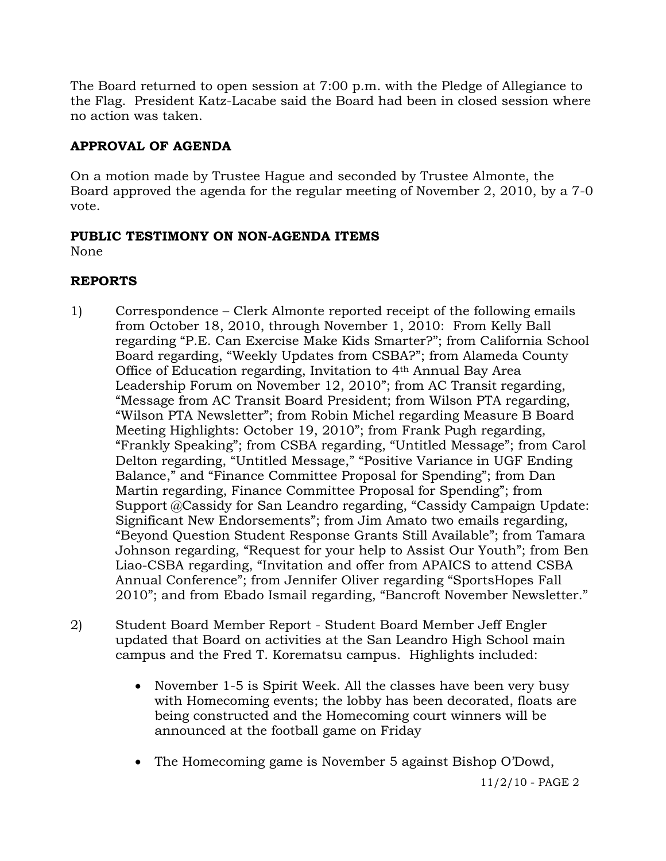The Board returned to open session at 7:00 p.m. with the Pledge of Allegiance to the Flag. President Katz-Lacabe said the Board had been in closed session where no action was taken.

# **APPROVAL OF AGENDA**

On a motion made by Trustee Hague and seconded by Trustee Almonte, the Board approved the agenda for the regular meeting of November 2, 2010, by a 7-0 vote.

# **PUBLIC TESTIMONY ON NON-AGENDA ITEMS**

None

# **REPORTS**

- 1) Correspondence Clerk Almonte reported receipt of the following emails from October 18, 2010, through November 1, 2010: From Kelly Ball regarding "P.E. Can Exercise Make Kids Smarter?"; from California School Board regarding, "Weekly Updates from CSBA?"; from Alameda County Office of Education regarding, Invitation to 4th Annual Bay Area Leadership Forum on November 12, 2010"; from AC Transit regarding, "Message from AC Transit Board President; from Wilson PTA regarding, "Wilson PTA Newsletter"; from Robin Michel regarding Measure B Board Meeting Highlights: October 19, 2010"; from Frank Pugh regarding, "Frankly Speaking"; from CSBA regarding, "Untitled Message"; from Carol Delton regarding, "Untitled Message," "Positive Variance in UGF Ending Balance," and "Finance Committee Proposal for Spending"; from Dan Martin regarding, Finance Committee Proposal for Spending"; from Support @Cassidy for San Leandro regarding, "Cassidy Campaign Update: Significant New Endorsements"; from Jim Amato two emails regarding, "Beyond Question Student Response Grants Still Available"; from Tamara Johnson regarding, "Request for your help to Assist Our Youth"; from Ben Liao-CSBA regarding, "Invitation and offer from APAICS to attend CSBA Annual Conference"; from Jennifer Oliver regarding "SportsHopes Fall 2010"; and from Ebado Ismail regarding, "Bancroft November Newsletter."
- 2) Student Board Member Report Student Board Member Jeff Engler updated that Board on activities at the San Leandro High School main campus and the Fred T. Korematsu campus. Highlights included:
	- November 1-5 is Spirit Week. All the classes have been very busy with Homecoming events; the lobby has been decorated, floats are being constructed and the Homecoming court winners will be announced at the football game on Friday
	- The Homecoming game is November 5 against Bishop O'Dowd,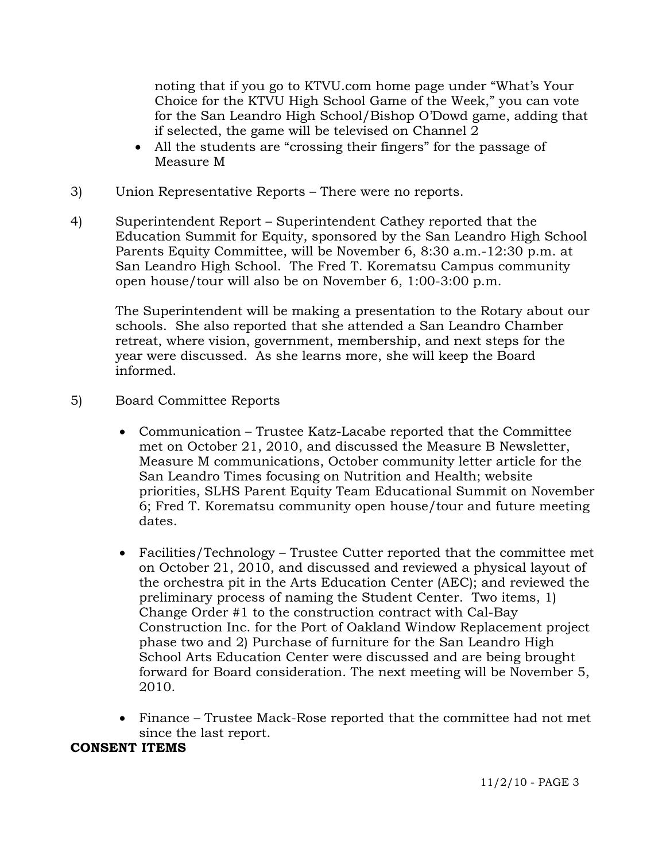noting that if you go to KTVU.com home page under "What's Your Choice for the KTVU High School Game of the Week," you can vote for the San Leandro High School/Bishop O'Dowd game, adding that if selected, the game will be televised on Channel 2

- All the students are "crossing their fingers" for the passage of Measure M
- 3) Union Representative Reports There were no reports.
- 4) Superintendent Report Superintendent Cathey reported that the Education Summit for Equity, sponsored by the San Leandro High School Parents Equity Committee, will be November 6, 8:30 a.m.-12:30 p.m. at San Leandro High School. The Fred T. Korematsu Campus community open house/tour will also be on November 6, 1:00-3:00 p.m.

The Superintendent will be making a presentation to the Rotary about our schools. She also reported that she attended a San Leandro Chamber retreat, where vision, government, membership, and next steps for the year were discussed. As she learns more, she will keep the Board informed.

- 5) Board Committee Reports
	- Communication Trustee Katz-Lacabe reported that the Committee met on October 21, 2010, and discussed the Measure B Newsletter, Measure M communications, October community letter article for the San Leandro Times focusing on Nutrition and Health; website priorities, SLHS Parent Equity Team Educational Summit on November 6; Fred T. Korematsu community open house/tour and future meeting dates.
	- Facilities/Technology Trustee Cutter reported that the committee met on October 21, 2010, and discussed and reviewed a physical layout of the orchestra pit in the Arts Education Center (AEC); and reviewed the preliminary process of naming the Student Center. Two items, 1) Change Order #1 to the construction contract with Cal-Bay Construction Inc. for the Port of Oakland Window Replacement project phase two and 2) Purchase of furniture for the San Leandro High School Arts Education Center were discussed and are being brought forward for Board consideration. The next meeting will be November 5, 2010.
	- Finance Trustee Mack-Rose reported that the committee had not met since the last report.

#### **CONSENT ITEMS**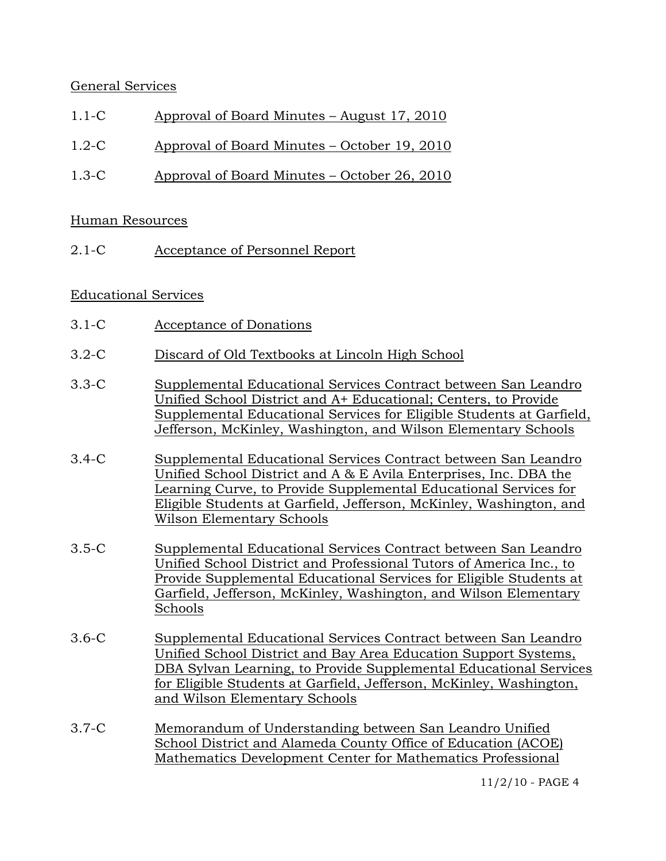### General Services

- 1.1-C Approval of Board Minutes August 17, 2010
- 1.2-C Approval of Board Minutes October 19, 2010
- 1.3-C Approval of Board Minutes October 26, 2010

#### Human Resources

2.1-C Acceptance of Personnel Report

#### Educational Services

- 3.1-C Acceptance of Donations
- 3.2-C Discard of Old Textbooks at Lincoln High School
- 3.3-C Supplemental Educational Services Contract between San Leandro Unified School District and A+ Educational; Centers, to Provide Supplemental Educational Services for Eligible Students at Garfield, Jefferson, McKinley, Washington, and Wilson Elementary Schools
- 3.4-C Supplemental Educational Services Contract between San Leandro Unified School District and A & E Avila Enterprises, Inc. DBA the Learning Curve, to Provide Supplemental Educational Services for Eligible Students at Garfield, Jefferson, McKinley, Washington, and Wilson Elementary Schools
- 3.5-C Supplemental Educational Services Contract between San Leandro Unified School District and Professional Tutors of America Inc., to Provide Supplemental Educational Services for Eligible Students at Garfield, Jefferson, McKinley, Washington, and Wilson Elementary Schools
- 3.6-C Supplemental Educational Services Contract between San Leandro Unified School District and Bay Area Education Support Systems, DBA Sylvan Learning, to Provide Supplemental Educational Services for Eligible Students at Garfield, Jefferson, McKinley, Washington, and Wilson Elementary Schools
- 3.7-C Memorandum of Understanding between San Leandro Unified School District and Alameda County Office of Education (ACOE) Mathematics Development Center for Mathematics Professional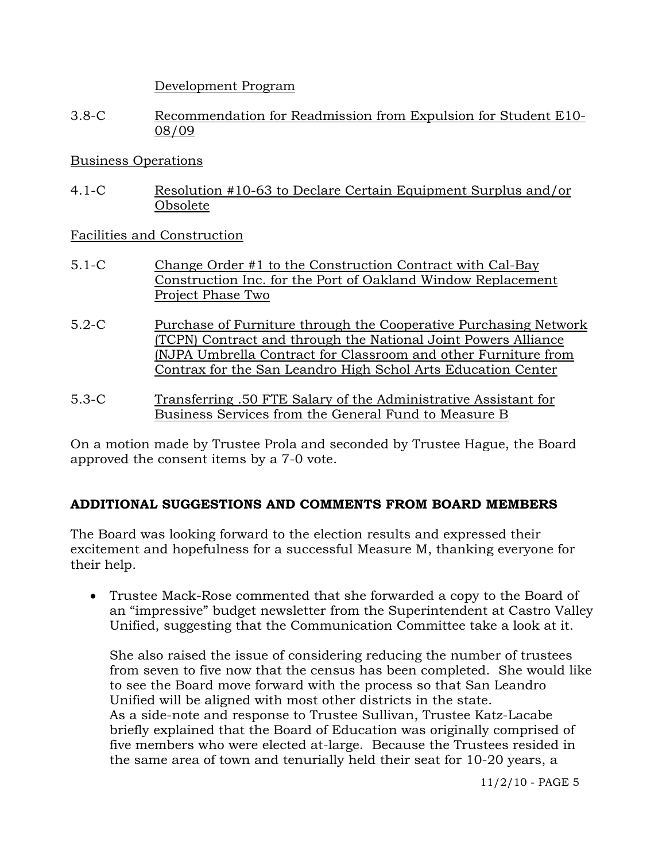Development Program

3.8-C Recommendation for Readmission from Expulsion for Student E10- 08/09

#### Business Operations

4.1-C Resolution #10-63 to Declare Certain Equipment Surplus and/or Obsolete

Facilities and Construction

- 5.1-C Change Order #1 to the Construction Contract with Cal-Bay Construction Inc. for the Port of Oakland Window Replacement Project Phase Two
- 5.2-C Purchase of Furniture through the Cooperative Purchasing Network (TCPN) Contract and through the National Joint Powers Alliance (NJPA Umbrella Contract for Classroom and other Furniture from Contrax for the San Leandro High Schol Arts Education Center
- 5.3-C Transferring .50 FTE Salary of the Administrative Assistant for Business Services from the General Fund to Measure B

On a motion made by Trustee Prola and seconded by Trustee Hague, the Board approved the consent items by a 7-0 vote.

## **ADDITIONAL SUGGESTIONS AND COMMENTS FROM BOARD MEMBERS**

The Board was looking forward to the election results and expressed their excitement and hopefulness for a successful Measure M, thanking everyone for their help.

 Trustee Mack-Rose commented that she forwarded a copy to the Board of an "impressive" budget newsletter from the Superintendent at Castro Valley Unified, suggesting that the Communication Committee take a look at it.

She also raised the issue of considering reducing the number of trustees from seven to five now that the census has been completed. She would like to see the Board move forward with the process so that San Leandro Unified will be aligned with most other districts in the state. As a side-note and response to Trustee Sullivan, Trustee Katz-Lacabe briefly explained that the Board of Education was originally comprised of five members who were elected at-large. Because the Trustees resided in the same area of town and tenurially held their seat for 10-20 years, a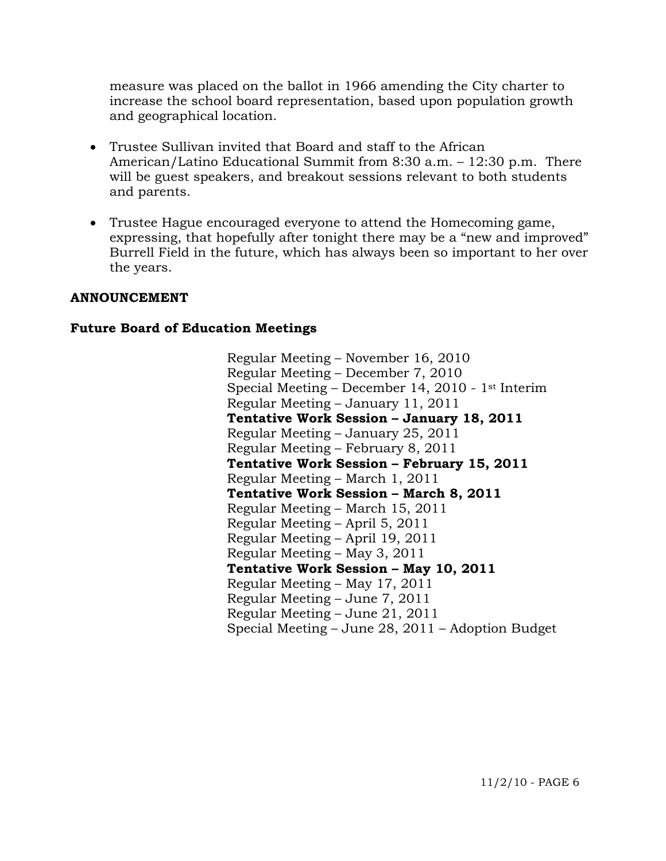measure was placed on the ballot in 1966 amending the City charter to increase the school board representation, based upon population growth and geographical location.

- Trustee Sullivan invited that Board and staff to the African American/Latino Educational Summit from 8:30 a.m. – 12:30 p.m. There will be guest speakers, and breakout sessions relevant to both students and parents.
- Trustee Hague encouraged everyone to attend the Homecoming game, expressing, that hopefully after tonight there may be a "new and improved" Burrell Field in the future, which has always been so important to her over the years.

#### **ANNOUNCEMENT**

#### **Future Board of Education Meetings**

Regular Meeting – November 16, 2010 Regular Meeting – December 7, 2010 Special Meeting – December 14, 2010 - 1st Interim Regular Meeting – January 11, 2011  **Tentative Work Session – January 18, 2011**  Regular Meeting – January 25, 2011 Regular Meeting – February 8, 2011  **Tentative Work Session – February 15, 2011**  Regular Meeting – March 1, 2011  **Tentative Work Session – March 8, 2011**  Regular Meeting – March 15, 2011 Regular Meeting – April 5, 2011 Regular Meeting – April 19, 2011 Regular Meeting – May 3, 2011  **Tentative Work Session – May 10, 2011**  Regular Meeting – May 17, 2011 Regular Meeting – June 7, 2011 Regular Meeting – June 21, 2011 Special Meeting – June 28, 2011 – Adoption Budget